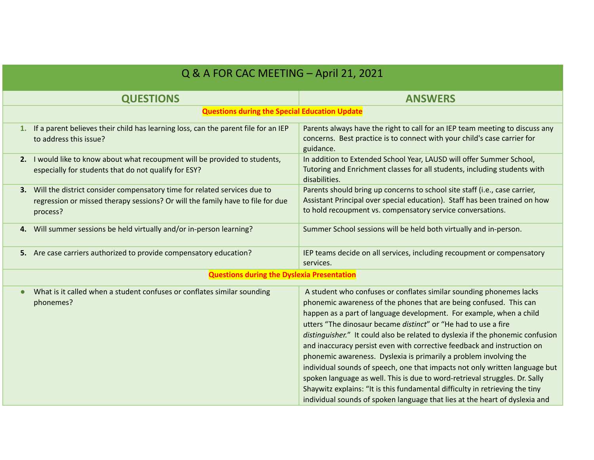| Q & A FOR CAC MEETING - April 21, 2021               |                                                                                                                                                                        |                                                                                                                                                                                                                                                                                                                                                                                                                                                                                                                                                                                                                                                                                                                                                                                                                                                   |  |  |
|------------------------------------------------------|------------------------------------------------------------------------------------------------------------------------------------------------------------------------|---------------------------------------------------------------------------------------------------------------------------------------------------------------------------------------------------------------------------------------------------------------------------------------------------------------------------------------------------------------------------------------------------------------------------------------------------------------------------------------------------------------------------------------------------------------------------------------------------------------------------------------------------------------------------------------------------------------------------------------------------------------------------------------------------------------------------------------------------|--|--|
|                                                      | <b>QUESTIONS</b>                                                                                                                                                       | <b>ANSWERS</b>                                                                                                                                                                                                                                                                                                                                                                                                                                                                                                                                                                                                                                                                                                                                                                                                                                    |  |  |
| <b>Questions during the Special Education Update</b> |                                                                                                                                                                        |                                                                                                                                                                                                                                                                                                                                                                                                                                                                                                                                                                                                                                                                                                                                                                                                                                                   |  |  |
|                                                      | 1. If a parent believes their child has learning loss, can the parent file for an IEP<br>to address this issue?                                                        | Parents always have the right to call for an IEP team meeting to discuss any<br>concerns. Best practice is to connect with your child's case carrier for<br>guidance.                                                                                                                                                                                                                                                                                                                                                                                                                                                                                                                                                                                                                                                                             |  |  |
|                                                      | 2. I would like to know about what recoupment will be provided to students,<br>especially for students that do not qualify for ESY?                                    | In addition to Extended School Year, LAUSD will offer Summer School,<br>Tutoring and Enrichment classes for all students, including students with<br>disabilities.                                                                                                                                                                                                                                                                                                                                                                                                                                                                                                                                                                                                                                                                                |  |  |
| 3.                                                   | Will the district consider compensatory time for related services due to<br>regression or missed therapy sessions? Or will the family have to file for due<br>process? | Parents should bring up concerns to school site staff (i.e., case carrier,<br>Assistant Principal over special education). Staff has been trained on how<br>to hold recoupment vs. compensatory service conversations.                                                                                                                                                                                                                                                                                                                                                                                                                                                                                                                                                                                                                            |  |  |
|                                                      | 4. Will summer sessions be held virtually and/or in-person learning?                                                                                                   | Summer School sessions will be held both virtually and in-person.                                                                                                                                                                                                                                                                                                                                                                                                                                                                                                                                                                                                                                                                                                                                                                                 |  |  |
|                                                      | 5. Are case carriers authorized to provide compensatory education?                                                                                                     | IEP teams decide on all services, including recoupment or compensatory<br>services.                                                                                                                                                                                                                                                                                                                                                                                                                                                                                                                                                                                                                                                                                                                                                               |  |  |
| <b>Questions during the Dyslexia Presentation</b>    |                                                                                                                                                                        |                                                                                                                                                                                                                                                                                                                                                                                                                                                                                                                                                                                                                                                                                                                                                                                                                                                   |  |  |
|                                                      | What is it called when a student confuses or conflates similar sounding<br>phonemes?                                                                                   | A student who confuses or conflates similar sounding phonemes lacks<br>phonemic awareness of the phones that are being confused. This can<br>happen as a part of language development. For example, when a child<br>utters "The dinosaur became distinct" or "He had to use a fire<br>distinguisher." It could also be related to dyslexia if the phonemic confusion<br>and inaccuracy persist even with corrective feedback and instruction on<br>phonemic awareness. Dyslexia is primarily a problem involving the<br>individual sounds of speech, one that impacts not only written language but<br>spoken language as well. This is due to word-retrieval struggles. Dr. Sally<br>Shaywitz explains: "It is this fundamental difficulty in retrieving the tiny<br>individual sounds of spoken language that lies at the heart of dyslexia and |  |  |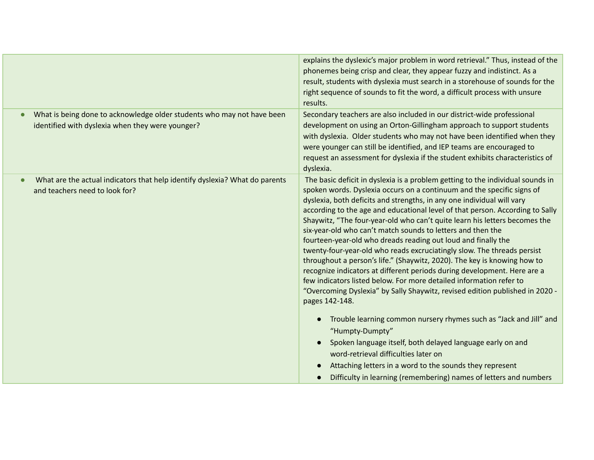|                                                                                                                            | explains the dyslexic's major problem in word retrieval." Thus, instead of the<br>phonemes being crisp and clear, they appear fuzzy and indistinct. As a<br>result, students with dyslexia must search in a storehouse of sounds for the<br>right sequence of sounds to fit the word, a difficult process with unsure<br>results.                                                                                                                                                                                                                                                                                                                                                                                                                                                                                                                                                                                                                                                                                                                                                                                                                         |
|----------------------------------------------------------------------------------------------------------------------------|-----------------------------------------------------------------------------------------------------------------------------------------------------------------------------------------------------------------------------------------------------------------------------------------------------------------------------------------------------------------------------------------------------------------------------------------------------------------------------------------------------------------------------------------------------------------------------------------------------------------------------------------------------------------------------------------------------------------------------------------------------------------------------------------------------------------------------------------------------------------------------------------------------------------------------------------------------------------------------------------------------------------------------------------------------------------------------------------------------------------------------------------------------------|
| What is being done to acknowledge older students who may not have been<br>identified with dyslexia when they were younger? | Secondary teachers are also included in our district-wide professional<br>development on using an Orton-Gillingham approach to support students<br>with dyslexia. Older students who may not have been identified when they<br>were younger can still be identified, and IEP teams are encouraged to<br>request an assessment for dyslexia if the student exhibits characteristics of<br>dyslexia.                                                                                                                                                                                                                                                                                                                                                                                                                                                                                                                                                                                                                                                                                                                                                        |
| What are the actual indicators that help identify dyslexia? What do parents<br>and teachers need to look for?              | The basic deficit in dyslexia is a problem getting to the individual sounds in<br>spoken words. Dyslexia occurs on a continuum and the specific signs of<br>dyslexia, both deficits and strengths, in any one individual will vary<br>according to the age and educational level of that person. According to Sally<br>Shaywitz, "The four-year-old who can't quite learn his letters becomes the<br>six-year-old who can't match sounds to letters and then the<br>fourteen-year-old who dreads reading out loud and finally the<br>twenty-four-year-old who reads excruciatingly slow. The threads persist<br>throughout a person's life." (Shaywitz, 2020). The key is knowing how to<br>recognize indicators at different periods during development. Here are a<br>few indicators listed below. For more detailed information refer to<br>"Overcoming Dyslexia" by Sally Shaywitz, revised edition published in 2020 -<br>pages 142-148.<br>Trouble learning common nursery rhymes such as "Jack and Jill" and<br>$\bullet$<br>"Humpty-Dumpty"<br>Spoken language itself, both delayed language early on and<br>word-retrieval difficulties later on |
|                                                                                                                            | Attaching letters in a word to the sounds they represent<br>Difficulty in learning (remembering) names of letters and numbers                                                                                                                                                                                                                                                                                                                                                                                                                                                                                                                                                                                                                                                                                                                                                                                                                                                                                                                                                                                                                             |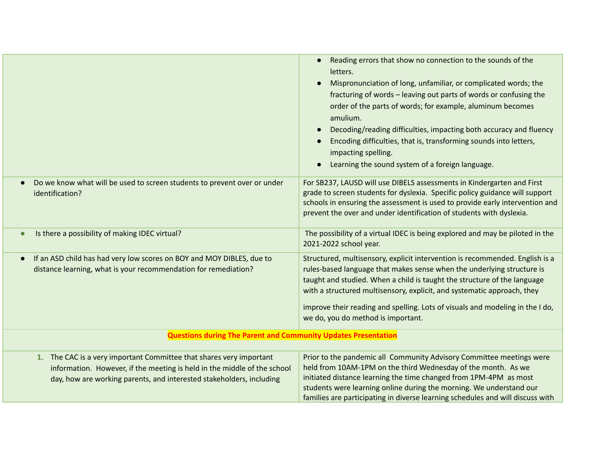|                                                                                                                                                                                                                         | Reading errors that show no connection to the sounds of the<br>letters.<br>Mispronunciation of long, unfamiliar, or complicated words; the<br>fracturing of words - leaving out parts of words or confusing the<br>order of the parts of words; for example, aluminum becomes<br>amulium.<br>Decoding/reading difficulties, impacting both accuracy and fluency<br>Encoding difficulties, that is, transforming sounds into letters,<br>impacting spelling.<br>Learning the sound system of a foreign language. |  |
|-------------------------------------------------------------------------------------------------------------------------------------------------------------------------------------------------------------------------|-----------------------------------------------------------------------------------------------------------------------------------------------------------------------------------------------------------------------------------------------------------------------------------------------------------------------------------------------------------------------------------------------------------------------------------------------------------------------------------------------------------------|--|
| Do we know what will be used to screen students to prevent over or under<br>identification?                                                                                                                             | For SB237, LAUSD will use DIBELS assessments in Kindergarten and First<br>grade to screen students for dyslexia. Specific policy guidance will support<br>schools in ensuring the assessment is used to provide early intervention and<br>prevent the over and under identification of students with dyslexia.                                                                                                                                                                                                  |  |
| Is there a possibility of making IDEC virtual?                                                                                                                                                                          | The possibility of a virtual IDEC is being explored and may be piloted in the<br>2021-2022 school year.                                                                                                                                                                                                                                                                                                                                                                                                         |  |
| If an ASD child has had very low scores on BOY and MOY DIBLES, due to<br>distance learning, what is your recommendation for remediation?                                                                                | Structured, multisensory, explicit intervention is recommended. English is a<br>rules-based language that makes sense when the underlying structure is<br>taught and studied. When a child is taught the structure of the language<br>with a structured multisensory, explicit, and systematic approach, they<br>improve their reading and spelling. Lots of visuals and modeling in the I do,<br>we do, you do method is important.                                                                            |  |
| <b>Questions during The Parent and Community Updates Presentation</b>                                                                                                                                                   |                                                                                                                                                                                                                                                                                                                                                                                                                                                                                                                 |  |
| 1. The CAC is a very important Committee that shares very important<br>information. However, if the meeting is held in the middle of the school<br>day, how are working parents, and interested stakeholders, including | Prior to the pandemic all Community Advisory Committee meetings were<br>held from 10AM-1PM on the third Wednesday of the month. As we<br>initiated distance learning the time changed from 1PM-4PM as most<br>students were learning online during the morning. We understand our<br>families are participating in diverse learning schedules and will discuss with                                                                                                                                             |  |